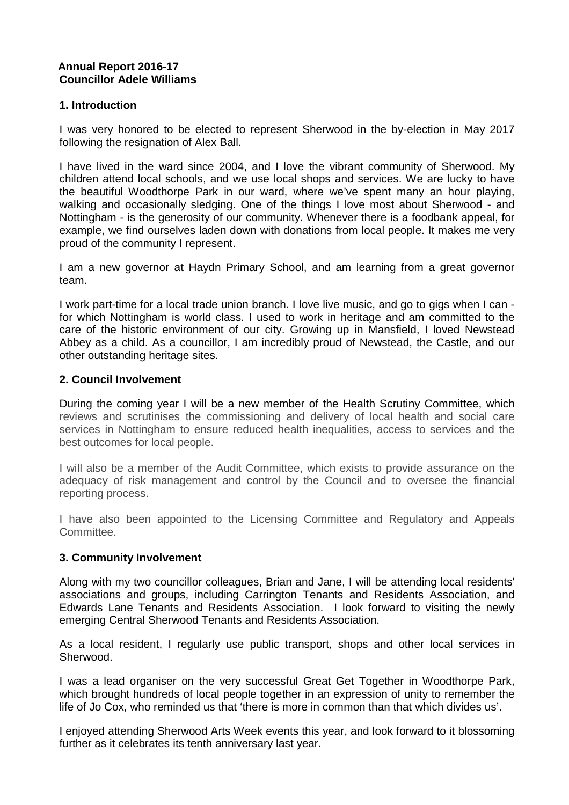### **Annual Report 2016-17 Councillor Adele Williams**

### **1. Introduction**

I was very honored to be elected to represent Sherwood in the by-election in May 2017 following the resignation of Alex Ball.

I have lived in the ward since 2004, and I love the vibrant community of Sherwood. My children attend local schools, and we use local shops and services. We are lucky to have the beautiful Woodthorpe Park in our ward, where we've spent many an hour playing, walking and occasionally sledging. One of the things I love most about Sherwood - and Nottingham - is the generosity of our community. Whenever there is a foodbank appeal, for example, we find ourselves laden down with donations from local people. It makes me very proud of the community I represent.

I am a new governor at Haydn Primary School, and am learning from a great governor team.

I work part-time for a local trade union branch. I love live music, and go to gigs when I can for which Nottingham is world class. I used to work in heritage and am committed to the care of the historic environment of our city. Growing up in Mansfield, I loved Newstead Abbey as a child. As a councillor, I am incredibly proud of Newstead, the Castle, and our other outstanding heritage sites.

### **2. Council Involvement**

During the coming year I will be a new member of the Health Scrutiny Committee, which reviews and scrutinises the commissioning and delivery of local health and social care services in Nottingham to ensure reduced health inequalities, access to services and the best outcomes for local people.

I will also be a member of the Audit Committee, which exists to provide assurance on the adequacy of risk management and control by the Council and to oversee the financial reporting process.

I have also been appointed to the Licensing Committee and Regulatory and Appeals **Committee** 

#### **3. Community Involvement**

Along with my two councillor colleagues, Brian and Jane, I will be attending local residents' associations and groups, including Carrington Tenants and Residents Association, and Edwards Lane Tenants and Residents Association. I look forward to visiting the newly emerging Central Sherwood Tenants and Residents Association.

As a local resident, I regularly use public transport, shops and other local services in Sherwood.

I was a lead organiser on the very successful Great Get Together in Woodthorpe Park, which brought hundreds of local people together in an expression of unity to remember the life of Jo Cox, who reminded us that 'there is more in common than that which divides us'.

I enjoyed attending Sherwood Arts Week events this year, and look forward to it blossoming further as it celebrates its tenth anniversary last year.